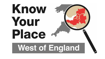# Know Your Place **West of England**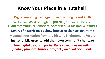## **Know Your Place in a nutshell**

**Digital mapping heritage project running to end 2016 Will cover West of England (B&NES, Somerset, Bristol, Gloucestershire, N.Somerset, Somerset, S.Glos and Wiltshire) Layers of historic maps show how area changes over time Mapped information from the Historic Environment Record Invites public users to add their own community heritage** *Free digital platform for heritage collections including photos, film, oral history, artefacts, archival documents*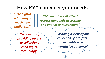## **How KYP can meet your needs**

*"Use digital technology to reach new audiences"*

*"Making these digitised records genuinely accessible and known to researchers"*

*"New ways of providing access to collections using digital technology"*

*"Making a view of our collection of artefacts available to a worldwide audience"*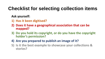# **Checklist for selecting collection items**

#### **Ask yourself:**

- **1) Has it been digitised?**
- **2) Does it have a geographical association that can be mapped?**
- **3) Do you hold its copyright, or do you have the copyright holder's permission?**
- **4) Are you prepared to publish an image of it?**
- **5) Is it the best example to showcase your collections & stories?**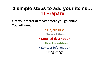### **3 simple steps to add your items… 1) Prepare**

**Get your material ready before you go online. You will need:** 

- **Object Title**
- **Type of item**
- **Detailed description** 
	- **Object condition**
- **Contact Information**
	- **Jpeg image**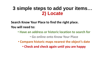#### **3 simple steps to add your items… 2) Locate**

**Search Know Your Place to find the right place. You will need to:** 

• **Have an address or historic location to search for**

• **Go online onto Know Your Place** 

• **Compare historic maps nearest the object's date**

• **Check and check again until you are happy**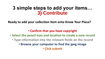#### **3 simple steps to add your items… 3) Contribute**

**Ready to add your collection item onto Know Your Place?**

#### • **Confirm that you have copyright**

- **Select the pencil icon and location to create a new record**
	- **Type information into the relevant fields on the record**
		- **Browse your computer to find the jpeg image**

• **Click submit**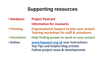# **Supporting resources**

- **Handouts: Project Postcard Information for museums**
- **Planning: Organisational Support to plan your project Training workshops for staff & volunteers**
- **Volunteers: Help finding people to work on your project**
- **Online: [www.kypwest.org.uk](http://www.kypwest.org.uk/) user instructions Top Tips and helpful blog articles Follow project news & developments**